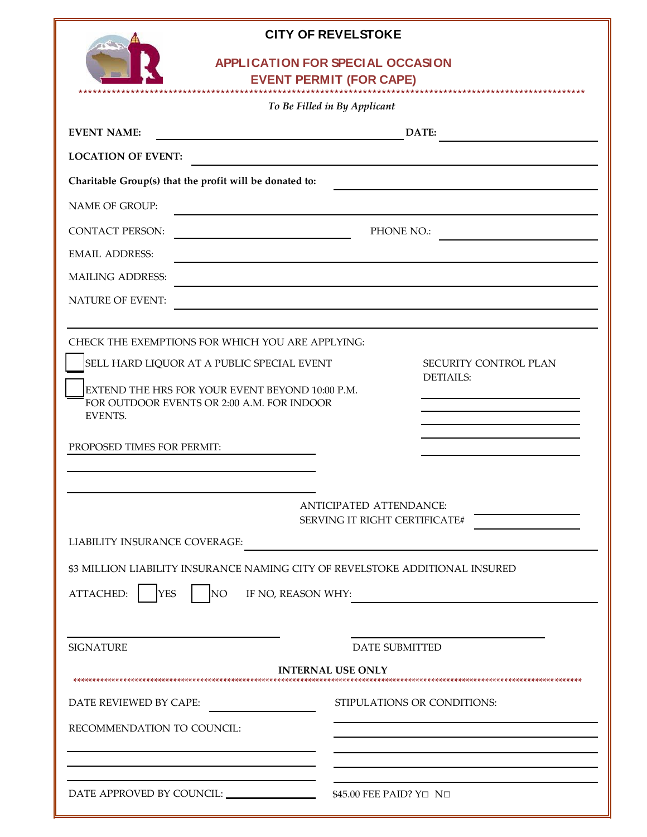

## **CITY OF REVELSTOKE**

# **APPLI CATI ON FOR SPECI AL OCCASI ON**

**EVENT PERMIT (FOR CAPE)** 

|                                                                              | To Be Filled in By Applicant  |                             |
|------------------------------------------------------------------------------|-------------------------------|-----------------------------|
| <b>EVENT NAME:</b>                                                           | DATE:                         |                             |
| <b>LOCATION OF EVENT:</b>                                                    |                               |                             |
| Charitable Group(s) that the profit will be donated to:                      |                               |                             |
| <b>NAME OF GROUP:</b>                                                        |                               |                             |
| <b>CONTACT PERSON:</b>                                                       | PHONE NO.:                    |                             |
| <b>EMAIL ADDRESS:</b>                                                        |                               |                             |
| <b>MAILING ADDRESS:</b>                                                      |                               |                             |
| <b>NATURE OF EVENT:</b>                                                      |                               |                             |
| CHECK THE EXEMPTIONS FOR WHICH YOU ARE APPLYING:                             |                               |                             |
| SELL HARD LIQUOR AT A PUBLIC SPECIAL EVENT                                   |                               | SECURITY CONTROL PLAN       |
| EXTEND THE HRS FOR YOUR EVENT BEYOND 10:00 P.M.                              |                               | <b>DETIAILS:</b>            |
| FOR OUTDOOR EVENTS OR 2:00 A.M. FOR INDOOR<br>EVENTS.                        |                               |                             |
|                                                                              |                               |                             |
| PROPOSED TIMES FOR PERMIT:                                                   |                               |                             |
|                                                                              |                               |                             |
|                                                                              | ANTICIPATED ATTENDANCE:       |                             |
|                                                                              | SERVING IT RIGHT CERTIFICATE# |                             |
| <b>LIABILITY INSURANCE COVERAGE:</b>                                         |                               |                             |
| \$3 MILLION LIABILITY INSURANCE NAMING CITY OF REVELSTOKE ADDITIONAL INSURED |                               |                             |
| ATTACHED:<br>NO <sub>1</sub><br><b>YES</b>                                   | IF NO, REASON WHY:            |                             |
|                                                                              |                               |                             |
| <b>SIGNATURE</b>                                                             |                               | <b>DATE SUBMITTED</b>       |
|                                                                              | INTERNAL USE ONLY             |                             |
|                                                                              |                               |                             |
| DATE REVIEWED BY CAPE:                                                       |                               | STIPULATIONS OR CONDITIONS: |
| RECOMMENDATION TO COUNCIL:                                                   |                               |                             |
|                                                                              |                               |                             |
|                                                                              |                               |                             |
| DATE APPROVED BY COUNCIL:<br>\$45.00 FEE PAID? Y□ N□                         |                               |                             |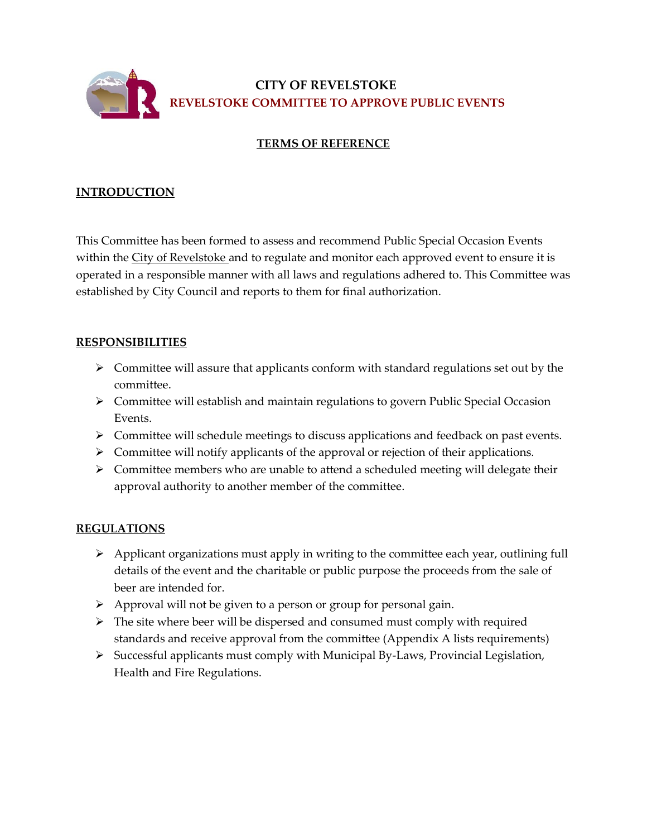

 **CITY OF REVELSTOKE REVELSTOKE COMMITTEE TO APPROVE PUBLIC EVENTS**

# **TERMS OF REFERENCE**

### **INTRODUCTION**

This Committee has been formed to assess and recommend Public Special Occasion Events within the City of Revelstoke and to regulate and monitor each approved event to ensure it is operated in a responsible manner with all laws and regulations adhered to. This Committee was established by City Council and reports to them for final authorization.

#### **RESPONSIBILITIES**

- $\triangleright$  Committee will assure that applicants conform with standard regulations set out by the committee.
- Committee will establish and maintain regulations to govern Public Special Occasion Events.
- > Committee will schedule meetings to discuss applications and feedback on past events.
- Committee will notify applicants of the approval or rejection of their applications.
- $\triangleright$  Committee members who are unable to attend a scheduled meeting will delegate their approval authority to another member of the committee.

## **REGULATIONS**

- Applicant organizations must apply in writing to the committee each year, outlining full details of the event and the charitable or public purpose the proceeds from the sale of beer are intended for.
- $\triangleright$  Approval will not be given to a person or group for personal gain.
- $\triangleright$  The site where beer will be dispersed and consumed must comply with required standards and receive approval from the committee (Appendix A lists requirements)
- $\triangleright$  Successful applicants must comply with Municipal By-Laws, Provincial Legislation, Health and Fire Regulations.